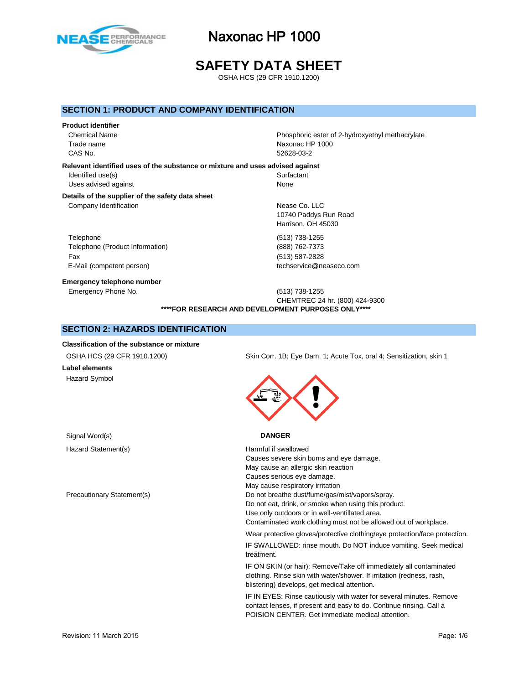

**SAFETY DATA SHEET**

OSHA HCS (29 CFR 1910.1200)

#### **SECTION 1: PRODUCT AND COMPANY IDENTIFICATION**

# **Product identifier**

Chemical Name **Phosphoric ester of 2-hydroxyethyl methacrylate** Trade name Naxonac HP 1000 CAS No. 52628-03-2

#### **Relevant identified uses of the substance or mixture and uses advised against**

Identified use(s) Surfactant Uses advised against None

### **Details of the supplier of the safety data sheet**

Company Identification **Nease Co.** LLC

Telephone (513) 738-1255 Telephone (Product Information) (888) 762-7373 Fax (513) 587-2828 E-Mail (competent person) example a strategies of techservice@neaseco.com

**Emergency telephone number**

10740 Paddys Run Road Harrison, OH 45030

Emergency Phone No. (513) 738-1255 CHEMTREC 24 hr. (800) 424-9300 **\*\*\*\*FOR RESEARCH AND DEVELOPMENT PURPOSES ONLY\*\*\*\***

#### **SECTION 2: HAZARDS IDENTIFICATION**

#### **Classification of the substance or mixture**

#### **Label elements** Hazard Symbol

Signal Word(s) **DANGER**

Hazard Statement(s) Harmful if swallowed

OSHA HCS (29 CFR 1910.1200) Skin Corr. 1B; Eye Dam. 1; Acute Tox, oral 4; Sensitization, skin 1



Causes severe skin burns and eye damage. May cause an allergic skin reaction Causes serious eye damage. May cause respiratory irritation Precautionary Statement(s) Do not breathe dust/fume/gas/mist/vapors/spray. Do not eat, drink, or smoke when using this product. Use only outdoors or in well-ventillated area. Contaminated work clothing must not be allowed out of workplace.

Wear protective gloves/protective clothing/eye protection/face protection.

IF SWALLOWED: rinse mouth. Do NOT induce vomiting. Seek medical treatment.

IF ON SKIN (or hair): Remove/Take off immediately all contaminated clothing. Rinse skin with water/shower. If irritation (redness, rash, blistering) develops, get medical attention.

IF IN EYES: Rinse cautiously with water for several minutes. Remove contact lenses, if present and easy to do. Continue rinsing. Call a POISION CENTER. Get immediate medical attention.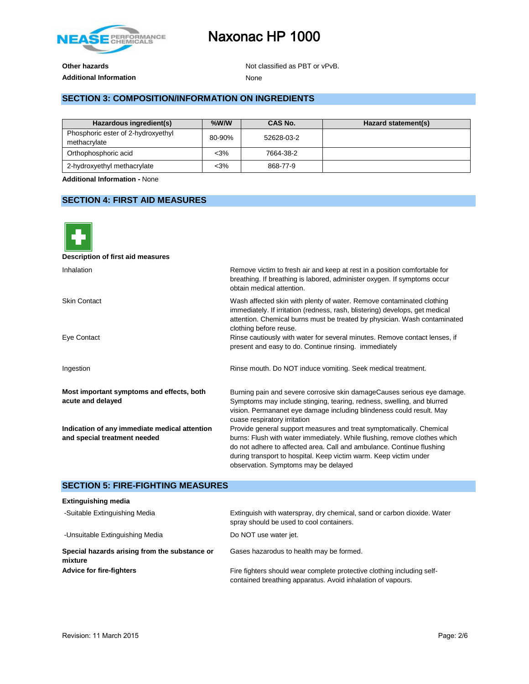

### Additional Information **None**

**Other hazards Other hazards Not classified as PBT or vPvB.** 

#### **SECTION 3: COMPOSITION/INFORMATION ON INGREDIENTS**

| Hazardous ingredient(s)                            | $%$ W/W | CAS No.    | Hazard statement(s) |
|----------------------------------------------------|---------|------------|---------------------|
| Phosphoric ester of 2-hydroxyethyl<br>methacrylate | 80-90%  | 52628-03-2 |                     |
| Orthophosphoric acid                               | $<$ 3%  | 7664-38-2  |                     |
| 2-hydroxyethyl methacrylate                        | $3%$    | 868-77-9   |                     |

**Additional Information -** None

### **SECTION 4: FIRST AID MEASURES**



| Description of first aid measures                                             |                                                                                                                                                                                                                                                                                                                                         |
|-------------------------------------------------------------------------------|-----------------------------------------------------------------------------------------------------------------------------------------------------------------------------------------------------------------------------------------------------------------------------------------------------------------------------------------|
| Inhalation                                                                    | Remove victim to fresh air and keep at rest in a position comfortable for<br>breathing. If breathing is labored, administer oxygen. If symptoms occur<br>obtain medical attention.                                                                                                                                                      |
| <b>Skin Contact</b>                                                           | Wash affected skin with plenty of water. Remove contaminated clothing<br>immediately. If irritation (redness, rash, blistering) develops, get medical<br>attention. Chemical burns must be treated by physician. Wash contaminated<br>clothing before reuse.                                                                            |
| Eye Contact                                                                   | Rinse cautiously with water for several minutes. Remove contact lenses, if<br>present and easy to do. Continue rinsing. immediately                                                                                                                                                                                                     |
| Ingestion                                                                     | Rinse mouth. Do NOT induce vomiting. Seek medical treatment.                                                                                                                                                                                                                                                                            |
| Most important symptoms and effects, both<br>acute and delayed                | Burning pain and severe corrosive skin damageCauses serious eye damage.<br>Symptoms may include stinging, tearing, redness, swelling, and blurred<br>vision. Permananet eye damage including blindeness could result. May<br>cuase respiratory irritation                                                                               |
| Indication of any immediate medical attention<br>and special treatment needed | Provide general support measures and treat symptomatically. Chemical<br>burns: Flush with water immediately. While flushing, remove clothes which<br>do not adhere to affected area. Call and ambulance. Continue flushing<br>during transport to hospital. Keep victim warm. Keep victim under<br>observation. Symptoms may be delayed |

#### **SECTION 5: FIRE-FIGHTING MEASURES**

| <b>Extinguishing media</b>                               |                                                                                                                                       |
|----------------------------------------------------------|---------------------------------------------------------------------------------------------------------------------------------------|
| -Suitable Extinguishing Media                            | Extinguish with waterspray, dry chemical, sand or carbon dioxide. Water<br>spray should be used to cool containers.                   |
| -Unsuitable Extinguishing Media                          | Do NOT use water jet.                                                                                                                 |
| Special hazards arising from the substance or<br>mixture | Gases hazarodus to health may be formed.                                                                                              |
| <b>Advice for fire-fighters</b>                          | Fire fighters should wear complete protective clothing including self-<br>contained breathing apparatus. Avoid inhalation of vapours. |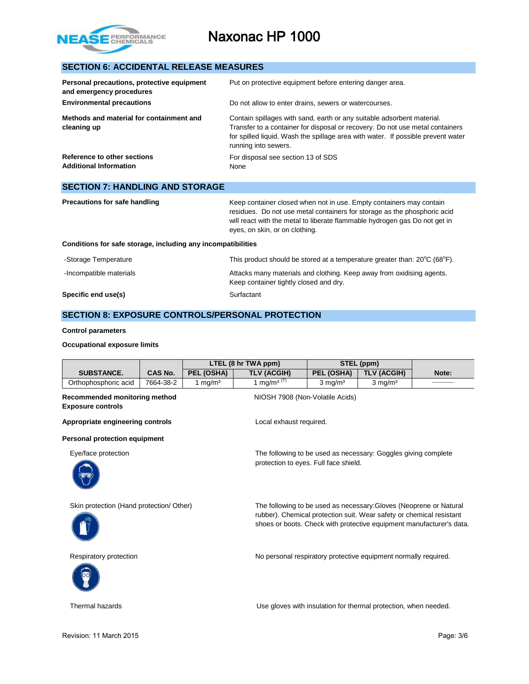

### **SECTION 6: ACCIDENTAL RELEASE MEASURES**

**SECTION 7: HANDLING AND STORAGE**

| Personal precautions, protective equipment<br>and emergency procedures | Put on protective equipment before entering danger area.                                                                                                                                                                                                            |
|------------------------------------------------------------------------|---------------------------------------------------------------------------------------------------------------------------------------------------------------------------------------------------------------------------------------------------------------------|
| <b>Environmental precautions</b>                                       | Do not allow to enter drains, sewers or watercourses.                                                                                                                                                                                                               |
| Methods and material for containment and<br>cleaning up                | Contain spillages with sand, earth or any suitable adsorbent material.<br>Transfer to a container for disposal or recovery. Do not use metal containers<br>for spilled liquid. Wash the spillage area with water. If possible prevent water<br>running into sewers. |
| Reference to other sections<br><b>Additional Information</b>           | For disposal see section 13 of SDS<br>None                                                                                                                                                                                                                          |

| SECTION <i>I</i> : HANDLING AND STORAGE                      |                                                                                                                                                                                                                                                                 |
|--------------------------------------------------------------|-----------------------------------------------------------------------------------------------------------------------------------------------------------------------------------------------------------------------------------------------------------------|
| Precautions for safe handling                                | Keep container closed when not in use. Empty containers may contain<br>residues. Do not use metal containers for storage as the phosphoric acid<br>will react with the metal to liberate flammable hydrogen gas Do not get in<br>eyes, on skin, or on clothing. |
| Conditions for safe storage, including any incompatibilities |                                                                                                                                                                                                                                                                 |
| -Storage Temperature                                         | This product should be stored at a temperature greater than: $20^{\circ}C$ (68 $^{\circ}F$ ).                                                                                                                                                                   |

Keep container tightly closed and dry.

-Incompatible materials **Attacks many materials and clothing. Keep away from oxidising agents.** 

**Specific end use(s)** Surfactant

#### **SECTION 8: EXPOSURE CONTROLS/PERSONAL PROTECTION**

#### **Control parameters**

#### **Occupational exposure limits**

|                                                           |           |                     | LTEL (8 hr TWA ppm)                                                                                                                                                                                                |                       | STEL (ppm)                                                      |       |
|-----------------------------------------------------------|-----------|---------------------|--------------------------------------------------------------------------------------------------------------------------------------------------------------------------------------------------------------------|-----------------------|-----------------------------------------------------------------|-------|
| <b>SUBSTANCE.</b>                                         | CAS No.   | PEL (OSHA)          | <b>TLV (ACGIH)</b>                                                                                                                                                                                                 | PEL (OSHA)            | TLV (ACGIH)                                                     | Note: |
| Orthophosphoric acid                                      | 7664-38-2 | 1 mg/m <sup>3</sup> | 1 mg/m <sup>3 (T)</sup>                                                                                                                                                                                            | $3$ mg/m <sup>3</sup> | $3 \text{ mg/m}^3$                                              |       |
| Recommended monitoring method<br><b>Exposure controls</b> |           |                     | NIOSH 7908 (Non-Volatile Acids)                                                                                                                                                                                    |                       |                                                                 |       |
| Appropriate engineering controls                          |           |                     | Local exhaust required.                                                                                                                                                                                            |                       |                                                                 |       |
| Personal protection equipment                             |           |                     |                                                                                                                                                                                                                    |                       |                                                                 |       |
| Eye/face protection                                       |           |                     | protection to eyes. Full face shield.                                                                                                                                                                              |                       | The following to be used as necessary: Goggles giving complete  |       |
| Skin protection (Hand protection/Other)                   |           |                     | The following to be used as necessary: Gloves (Neoprene or Natural<br>rubber). Chemical protection suit. Wear safety or chemical resistant<br>shoes or boots. Check with protective equipment manufacturer's data. |                       |                                                                 |       |
| Respiratory protection                                    |           |                     |                                                                                                                                                                                                                    |                       | No personal respiratory protective equipment normally required. |       |

Thermal hazards Use gloves with insulation for thermal protection, when needed.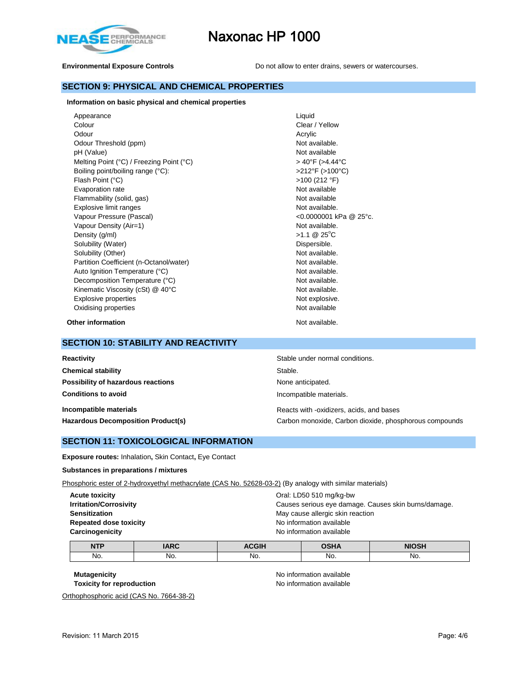

**Environmental Exposure Controls Do not allow to enter drains, sewers or watercourses.** 

#### **SECTION 9: PHYSICAL AND CHEMICAL PROPERTIES**

#### **Information on basic physical and chemical properties**

| Appearance                               | Liquid                     |
|------------------------------------------|----------------------------|
| Colour                                   | Clear / Yellow             |
| Odour                                    | Acrylic                    |
| Odour Threshold (ppm)                    | Not available.             |
| pH (Value)                               | Not available              |
| Melting Point (°C) / Freezing Point (°C) | > 40°F (>4.44°C            |
| Boiling point/boiling range (°C):        | >212°F (>100°C)            |
| Flash Point (°C)                         | >100 (212 °F)              |
| Evaporation rate                         | Not available              |
| Flammability (solid, gas)                | Not available              |
| Explosive limit ranges                   | Not available.             |
| Vapour Pressure (Pascal)                 | <0.0000001 kPa @ 25°c.     |
| Vapour Density (Air=1)                   | Not available.             |
| Density (g/ml)                           | $>1.1$ @ 25 <sup>°</sup> C |
| Solubility (Water)                       | Dispersible.               |
| Solubility (Other)                       | Not available.             |
| Partition Coefficient (n-Octanol/water)  | Not available.             |
| Auto Ignition Temperature (°C)           | Not available.             |
| Decomposition Temperature (°C)           | Not available.             |
| Kinematic Viscosity (cSt) @ 40°C         | Not available.             |
| Explosive properties                     | Not explosive.             |
| Oxidising properties                     | Not available              |

**Other information** Not available.

#### **SECTION 10: STABILITY AND REACTIVITY**

| Reactivity                                                          | Stable under normal conditions.                                                                    |
|---------------------------------------------------------------------|----------------------------------------------------------------------------------------------------|
| <b>Chemical stability</b>                                           | Stable.                                                                                            |
| Possibility of hazardous reactions                                  | None anticipated.                                                                                  |
| <b>Conditions to avoid</b>                                          | Incompatible materials.                                                                            |
| Incompatible materials<br><b>Hazardous Decomposition Product(s)</b> | Reacts with -oxidizers, acids, and bases<br>Carbon monoxide, Carbon dioxide, phosphorous compounds |

#### **SECTION 11: TOXICOLOGICAL INFORMATION**

**Exposure routes:** Inhalation**,** Skin Contact**,** Eye Contact

#### **Substances in preparations / mixtures**

Phosphoric ester of 2-hydroxyethyl methacrylate (CAS No. 52628-03-2) (By analogy with similar materials)

| <b>Acute toxicity</b>         | Oral: LD50 510 mg/kg-bw                              |
|-------------------------------|------------------------------------------------------|
| <b>Irritation/Corrosivity</b> | Causes serious eye damage. Causes skin burns/damage. |
| <b>Sensitization</b>          | May cause allergic skin reaction                     |
| <b>Repeated dose toxicity</b> | No information available                             |
| Carcinogenicity               | No information available                             |
|                               |                                                      |

| <b>NTP</b> | <b>IARC</b> | <b>ACGIH</b> | <b>OSHA</b> | <b>NIOSH</b> |
|------------|-------------|--------------|-------------|--------------|
| No.        | No.         | No.          | No.         | No.          |

Orthophosphoric acid (CAS No. 7664-38-2)

**Mutagenicity Mutagenicity No** information available **Toxicity for reproduction No information available**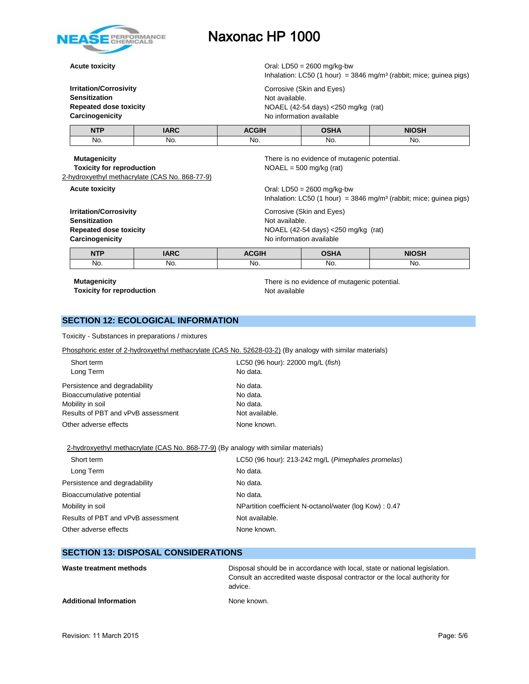

**Acute toxicity Acute toxicity Oral:** LD50 = 2600 mg/kg-bw

Inhalation: LC50 (1 hour) =  $3846$  mg/m<sup>3</sup> (rabbit; mice; guinea pigs) **Irritation/Corrosivity Corrosive (Skin and Eyes) Sensitization** Not available. **Repeated dose toxicity** NOAEL (42-54 days) <250 mg/kg (rat) **Carcinogenicity Carcinogenicity No information available NTP IARC ACGIH OSHA NIOSH** No. No. No. No. No.

| Carcinogenicity<br><b>NTP</b>                           | <b>IARC</b>                                    | No information available<br><b>OSHA</b><br><b>NIOSH</b><br><b>ACGIH</b>   |                                                                                    |                                                                                  |  |
|---------------------------------------------------------|------------------------------------------------|---------------------------------------------------------------------------|------------------------------------------------------------------------------------|----------------------------------------------------------------------------------|--|
| <b>Sensitization</b><br><b>Repeated dose toxicity</b>   | <b>Irritation/Corrosivity</b>                  |                                                                           | Corrosive (Skin and Eyes)<br>Not available.<br>NOAEL (42-54 days) <250 mg/kg (rat) |                                                                                  |  |
| <b>Acute toxicity</b>                                   |                                                |                                                                           | Oral: LD50 = $2600$ mg/kg-bw                                                       | Inhalation: LC50 (1 hour) = $3846$ mg/m <sup>3</sup> (rabbit; mice; guinea pigs) |  |
| <b>Mutagenicity</b><br><b>Toxicity for reproduction</b> | 2-hydroxyethyl methacrylate (CAS No. 868-77-9) | There is no evidence of mutagenic potential.<br>$NOAEL = 500$ mg/kg (rat) |                                                                                    |                                                                                  |  |

No. No. No. No. No.

**Toxicity for reproduction** Not available

**Mutagenicity** There is no evidence of mutagenic potential.

#### **SECTION 12: ECOLOGICAL INFORMATION**

Toxicity - Substances in preparations / mixtures

Phosphoric ester of 2-hydroxyethyl methacrylate (CAS No. 52628-03-2) (By analogy with similar materials)

| Short term<br>Long Term            | LC50 (96 hour): 22000 mg/L (fish)<br>No data. |
|------------------------------------|-----------------------------------------------|
| Persistence and degradability      | No data.                                      |
| Bioaccumulative potential          | No data.                                      |
| Mobility in soil                   | No data.                                      |
| Results of PBT and vPvB assessment | Not available.                                |
| Other adverse effects              | None known.                                   |

2-hydroxyethyl methacrylate (CAS No. 868-77-9) (By analogy with similar materials)

| LC50 (96 hour): 213-242 mg/L (Pimephales promelas)      |
|---------------------------------------------------------|
| No data.                                                |
| No data.                                                |
| No data.                                                |
| NPartition coefficient N-octanol/water (log Kow) : 0.47 |
| Not available.                                          |
| None known.                                             |
|                                                         |

#### **SECTION 13: DISPOSAL CONSIDERATIONS**

| Waste treatment methods       | Disposal should be in accordance with local, state or national legislation.<br>Consult an accredited waste disposal contractor or the local authority for<br>advice. |
|-------------------------------|----------------------------------------------------------------------------------------------------------------------------------------------------------------------|
| <b>Additional Information</b> | None known.                                                                                                                                                          |